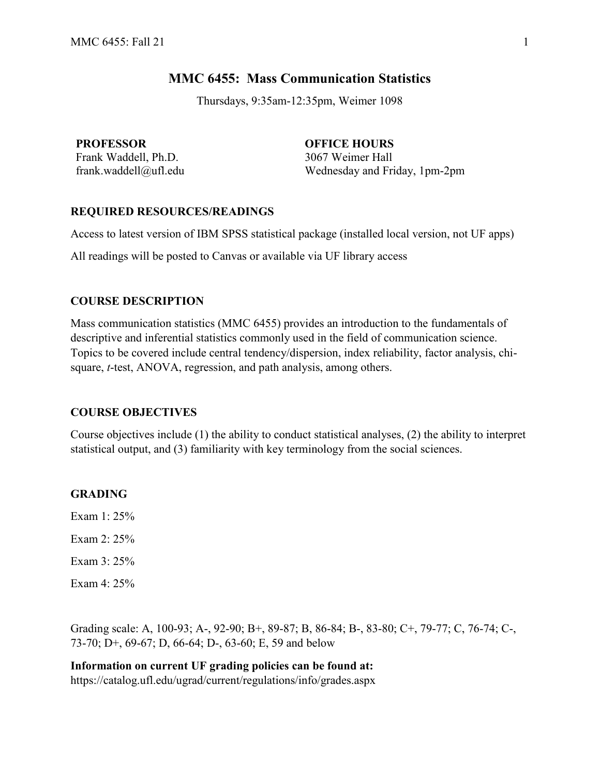# **MMC 6455: Mass Communication Statistics**

Thursdays, 9:35am-12:35pm, Weimer 1098

**PROFESSOR OFFICE HOURS** Frank Waddell, Ph.D. 3067 Weimer Hall

frank.waddell@ufl.edu Wednesday and Friday, 1pm-2pm

## **REQUIRED RESOURCES/READINGS**

Access to latest version of IBM SPSS statistical package (installed local version, not UF apps)

All readings will be posted to Canvas or available via UF library access

## **COURSE DESCRIPTION**

Mass communication statistics (MMC 6455) provides an introduction to the fundamentals of descriptive and inferential statistics commonly used in the field of communication science. Topics to be covered include central tendency/dispersion, index reliability, factor analysis, chisquare, *t*-test, ANOVA, regression, and path analysis, among others.

## **COURSE OBJECTIVES**

Course objectives include (1) the ability to conduct statistical analyses, (2) the ability to interpret statistical output, and (3) familiarity with key terminology from the social sciences.

## **GRADING**

Exam 1: 25% Exam 2: 25% Exam 3: 25% Exam 4: 25%

Grading scale: A, 100-93; A-, 92-90; B+, 89-87; B, 86-84; B-, 83-80; C+, 79-77; C, 76-74; C-, 73-70; D+, 69-67; D, 66-64; D-, 63-60; E, 59 and below

**Information on current UF grading policies can be found at:**  https://catalog.ufl.edu/ugrad/current/regulations/info/grades.aspx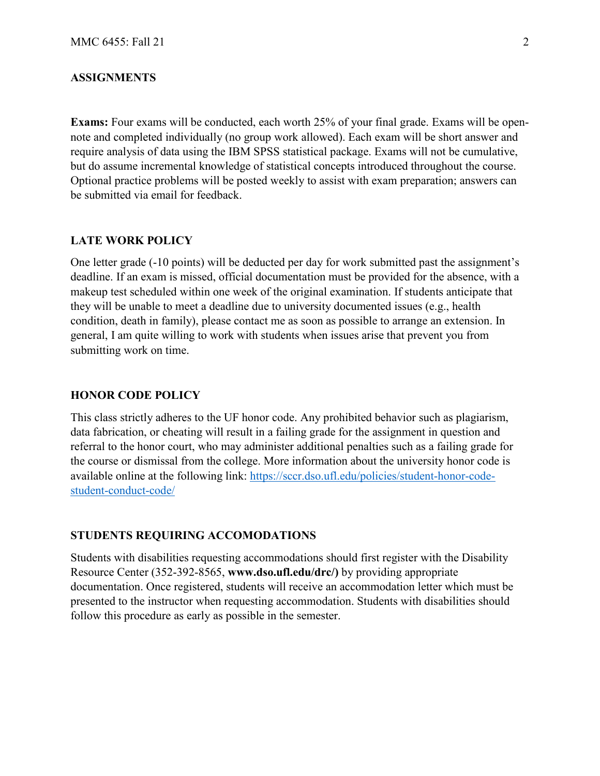## **ASSIGNMENTS**

**Exams:** Four exams will be conducted, each worth 25% of your final grade. Exams will be opennote and completed individually (no group work allowed). Each exam will be short answer and require analysis of data using the IBM SPSS statistical package. Exams will not be cumulative, but do assume incremental knowledge of statistical concepts introduced throughout the course. Optional practice problems will be posted weekly to assist with exam preparation; answers can be submitted via email for feedback.

#### **LATE WORK POLICY**

One letter grade (-10 points) will be deducted per day for work submitted past the assignment's deadline. If an exam is missed, official documentation must be provided for the absence, with a makeup test scheduled within one week of the original examination. If students anticipate that they will be unable to meet a deadline due to university documented issues (e.g., health condition, death in family), please contact me as soon as possible to arrange an extension. In general, I am quite willing to work with students when issues arise that prevent you from submitting work on time.

### **HONOR CODE POLICY**

This class strictly adheres to the UF honor code. Any prohibited behavior such as plagiarism, data fabrication, or cheating will result in a failing grade for the assignment in question and referral to the honor court, who may administer additional penalties such as a failing grade for the course or dismissal from the college. More information about the university honor code is available online at the following link: https://sccr.dso.ufl.edu/policies/student-honor-codestudent-conduct-code/

### **STUDENTS REQUIRING ACCOMODATIONS**

Students with disabilities requesting accommodations should first register with the Disability Resource Center (352-392-8565, **www.dso.ufl.edu/drc/)** by providing appropriate documentation. Once registered, students will receive an accommodation letter which must be presented to the instructor when requesting accommodation. Students with disabilities should follow this procedure as early as possible in the semester.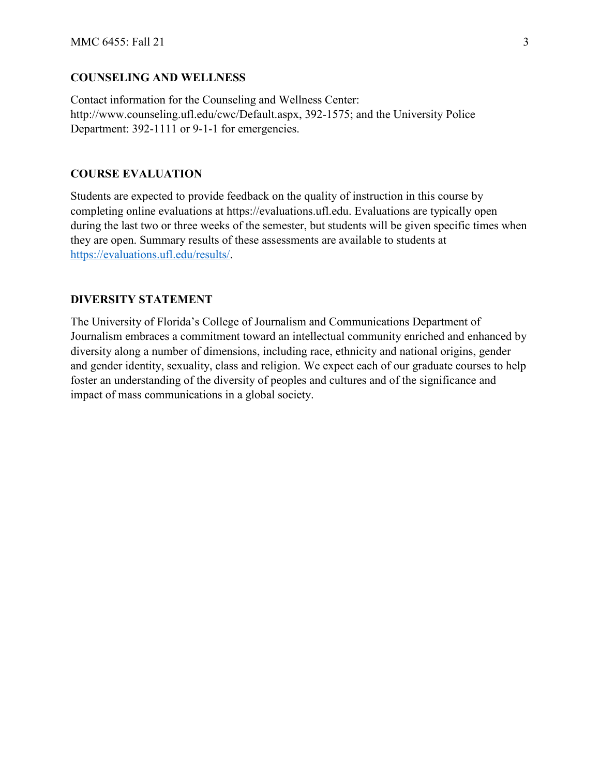## **COUNSELING AND WELLNESS**

Contact information for the Counseling and Wellness Center: http://www.counseling.ufl.edu/cwc/Default.aspx, 392-1575; and the University Police Department: 392-1111 or 9-1-1 for emergencies.

## **COURSE EVALUATION**

Students are expected to provide feedback on the quality of instruction in this course by completing online evaluations at https://evaluations.ufl.edu. Evaluations are typically open during the last two or three weeks of the semester, but students will be given specific times when they are open. Summary results of these assessments are available to students at [https://evaluations.ufl.edu/results/.](https://evaluations.ufl.edu/results/)

## **DIVERSITY STATEMENT**

The University of Florida's College of Journalism and Communications Department of Journalism embraces a commitment toward an intellectual community enriched and enhanced by diversity along a number of dimensions, including race, ethnicity and national origins, gender and gender identity, sexuality, class and religion. We expect each of our graduate courses to help foster an understanding of the diversity of peoples and cultures and of the significance and impact of mass communications in a global society.